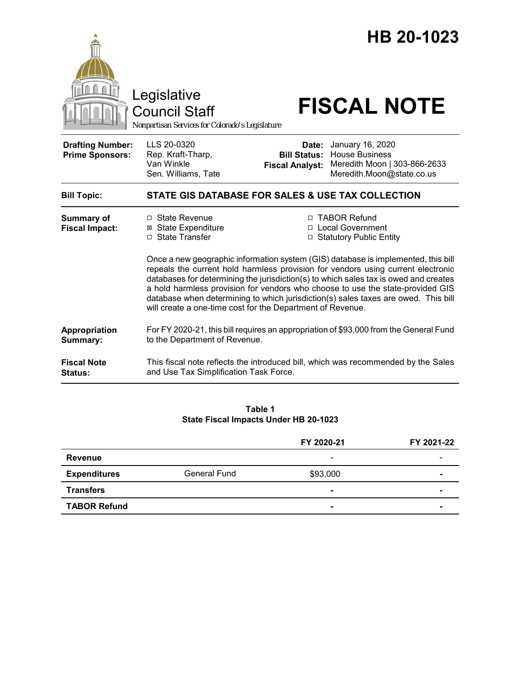|                                                   | Legislative<br><b>Council Staff</b><br>Nonpartisan Services for Colorado's Legislature                                                                                                                                                                                                                                                                                                                         |                                                        | HB 20-1023<br><b>FISCAL NOTE</b>                                                                                                                       |  |
|---------------------------------------------------|----------------------------------------------------------------------------------------------------------------------------------------------------------------------------------------------------------------------------------------------------------------------------------------------------------------------------------------------------------------------------------------------------------------|--------------------------------------------------------|--------------------------------------------------------------------------------------------------------------------------------------------------------|--|
| <b>Drafting Number:</b><br><b>Prime Sponsors:</b> | LLS 20-0320<br>Rep. Kraft-Tharp,<br>Van Winkle<br>Sen. Williams, Tate                                                                                                                                                                                                                                                                                                                                          | Date:<br><b>Bill Status:</b><br><b>Fiscal Analyst:</b> | January 16, 2020<br><b>House Business</b><br>Meredith Moon   303-866-2633<br>Meredith.Moon@state.co.us                                                 |  |
| <b>Bill Topic:</b>                                | STATE GIS DATABASE FOR SALES & USE TAX COLLECTION                                                                                                                                                                                                                                                                                                                                                              |                                                        |                                                                                                                                                        |  |
| <b>Summary of</b><br><b>Fiscal Impact:</b>        | □ State Revenue<br><b>⊠</b> State Expenditure<br>□ State Transfer                                                                                                                                                                                                                                                                                                                                              |                                                        | □ TABOR Refund<br>□ Local Government<br>□ Statutory Public Entity<br>Once a new geographic information system (GIS) database is implemented, this bill |  |
|                                                   | repeals the current hold harmless provision for vendors using current electronic<br>databases for determining the jurisdiction(s) to which sales tax is owed and creates<br>a hold harmless provision for vendors who choose to use the state-provided GIS<br>database when determining to which jurisdiction(s) sales taxes are owed. This bill<br>will create a one-time cost for the Department of Revenue. |                                                        |                                                                                                                                                        |  |
| Appropriation<br>Summary:                         | For FY 2020-21, this bill requires an appropriation of \$93,000 from the General Fund<br>to the Department of Revenue.                                                                                                                                                                                                                                                                                         |                                                        |                                                                                                                                                        |  |
| <b>Fiscal Note</b><br><b>Status:</b>              | This fiscal note reflects the introduced bill, which was recommended by the Sales<br>and Use Tax Simplification Task Force.                                                                                                                                                                                                                                                                                    |                                                        |                                                                                                                                                        |  |

### **Table 1 State Fiscal Impacts Under HB 20-1023**

|                     |                     | FY 2020-21               | FY 2021-22     |
|---------------------|---------------------|--------------------------|----------------|
| Revenue             |                     | $\overline{\phantom{a}}$ |                |
| <b>Expenditures</b> | <b>General Fund</b> | \$93,000                 | $\blacksquare$ |
| <b>Transfers</b>    |                     | $\blacksquare$           |                |
| <b>TABOR Refund</b> |                     | $\sim$                   | $\blacksquare$ |